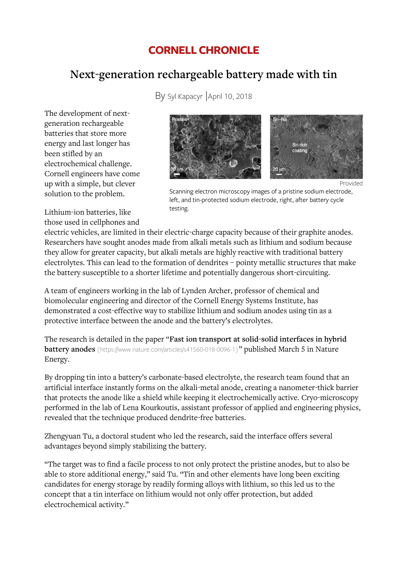## **CORNELL CHRONICLE**

# Next-generation rechargeable battery made with tin

By Syl Kapacyr April 10, 2018

The development of next generation rechargeable batteries that store more energy and last longer has been stifled by an electrochemical challenge Cornell engineers have come up with a simple, but clever solution to the problem



Provided

Scanning electron microscopy images of a pristine sodium electrode left, and tin-protected sodium electrode, right, after battery cycle testing

Lithium-ion batteries, like those used in cellphones and

electric vehicles, are limited in their electric-charge capacity because of their graphite anodes. Researchers have sought anodes made from alkali metals such as lithium and sodium because they allow for greater capacity, but alkali metals are highly reactive with traditional battery electrolytes. This can lead to the formation of dendrites - pointy metallic structures that make the battery susceptible to a shorter lifetime and potentially dangerous short-circuiting.

A team of engineers working in the lab of Lynden Archer, professor of chemical and biomolecular engineering and director of the Cornell Energy Systems Institute, has demonstrated a cost-effective way to stabilize lithium and sodium anodes using tin as a protective interface between the anode and the battery's electrolytes

The research is detailed in the paper "Fast ion transport at solid-solid interfaces in hybrid **battery anodes** (https://www.nature.com/articles/s41560-018-0096-1)" published March 5 in Nature Energy

By dropping tin into a battery's carbonate-based electrolyte, the research team found that an artificial interface instantly forms on the alkali-metal anode, creating a nanometer-thick barrier that protects the anode like a shield while keeping it electrochemically active. Cryo-microscopy performed in the lab of Lena Kourkoutis, assistant professor of applied and engineering physics, revealed that the technique produced dendrite-free batteries.

Zhengyuan Tu, a doctoral student who led the research, said the interface offers several advantages beyond simply stabilizing the battery

"The target was to find a facile process to not only protect the pristine anodes, but to also be able to store additional energy," said Tu. "Tin and other elements have long been exciting candidates for energy storage by readily forming alloys with lithium, so this led us to the concept that a tin interface on lithium would not only offer protection, but added electrochemical activity."